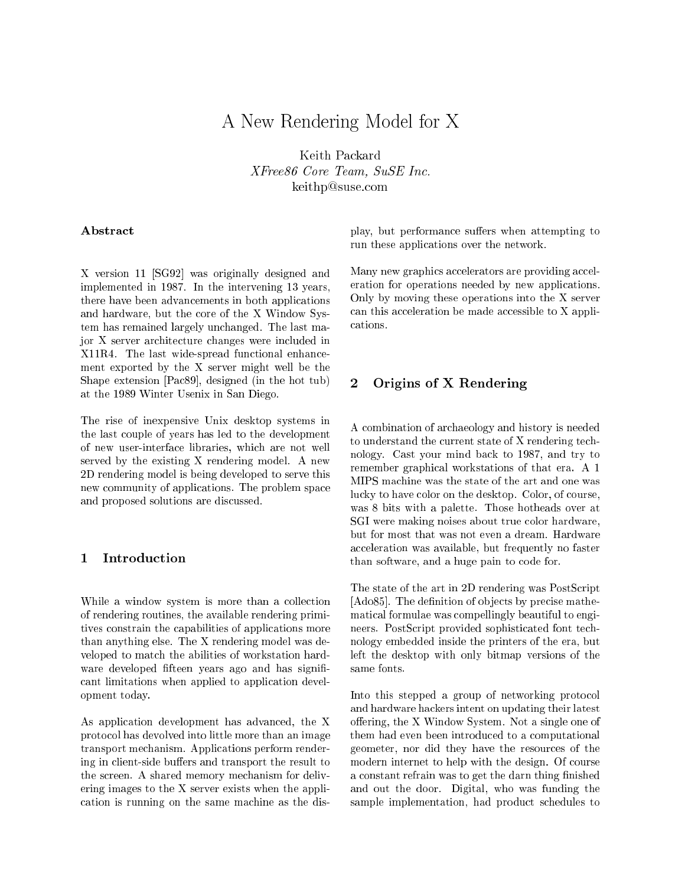# A New Rendering Model for X

Keith Packard XFree86 Core Team, SuSE In
. keithp@suse.com

# Abstract

X version 11 [SG92] was originally designed and implemented in 1987. In the intervening 13 years, there have been advan
ements in both appli
ations and hardware, but the ore of the X Window System has remained largely un
hanged. The last major X server ar
hite
ture hanges were in
luded in X11R4. The last wide-spread fun
tional enhan
ement exported by the X server might well be the Shape extension [Pac89], designed (in the hot tub) at the 1989 Winter Usenix in San Diego.

The rise of inexpensive Unix desktop systems in the last ouple of years has led to the development of new user-interfa
e libraries, whi
h are not well served by the existing X rendering model. A new 2D rendering model is being developed to serve this new ommunity of appli
ations. The problem spa
e and proposed solutions are dis
ussed.

#### Introduction  $\mathbf{1}$

While a window system is more than a collection of rendering routines, the available rendering primitives onstrain the apabilities of appli
ations more than anything else. The X rendering model was developed to mat
h the abilities of workstation hardware developed fifteen years ago and has signifiant limitations when applied to appli
ation development today.

As appli
ation development has advan
ed, the X proto
ol has devolved into little more than an image transport me
hanism. Appli
ations perform rendering in client-side buffers and transport the result to the s
reen. A shared memory me
hanism for delivering images to the X server exists when the appli ation is running on the same ma
hine as the display, but performance suffers when attempting to run these appli
ations over the network.

Many new graphics accelerators are providing acceleration for operations needed by new appli
ations. Only by moving these operations into the X server can this acceleration be made accessible to X applications.

# <sup>2</sup> Origins of <sup>X</sup> Rendering

A ombination of ar
haeology and history is needed to understand the current state of X rendering technology. Cast your mind ba
k to 1987, and try to remember graphi
al workstations of that era. A 1 MIPS ma
hine was the state of the art and one was lucky to have color on the desktop. Color, of course, was 8 bits with a palette. Those hotheads over at SGI were making noises about true color hardware, but for most that was not even a dream. Hardware acceleration was available, but frequently no faster than software, and a huge pain to ode for.

The state of the art in 2D rendering was PostS
ript [ $Ado85$ ]. The definition of objects by precise mathemati
al formulae was ompellingly beautiful to engineers. PostS
ript provided sophisti
ated font te
hnology embedded inside the printers of the era, but left the desktop with only bitmap versions of the same fonts.

Into this stepped a group of networking protocol and hardware ha
kers intent on updating their latest offering, the  $X$  Window System. Not a single one of them had even been introdu
ed to a omputational geometer, nor did they have the resour
es of the modern internet to help with the design. Of course a constant refrain was to get the darn thing finished and out the door. Digital, who was funding the sample implementation, had product schedules to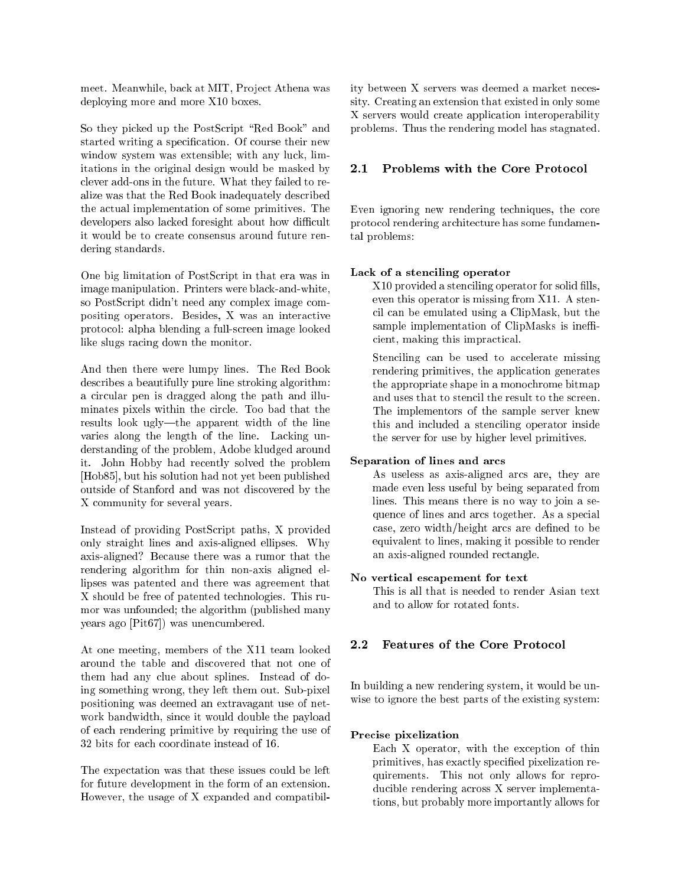meet. Meanwhile, back at MIT, Project Athena was deploying more and more X10 boxes.

So they picked up the PostScript "Red Book" and started writing a specification. Of course their new window system was extensible; with any luck, limitations in the original design would be masked by clever add-ons in the future. What they failed to realize was that the Red Book inadequately des
ribed the actual implementation of some primitives. The developers also lacked foresight about how difficult it would be to create consensus around future rendering standards.

One big limitation of PostS
ript in that era was in image manipulation. Printers were bla
k-and-white, so PostS
ript didn't need any omplex image ompositing operators. Besides, X was an intera
tive proto
ol: alpha blending a full-s
reen image looked like slugs racing down the monitor.

And then there were lumpy lines. The Red Book des
ribes a beautifully pure line stroking algorithm: a circular pen is dragged along the path and illuminates pixels within the ir
le. Too bad that the results look ugly—the apparent width of the line varies along the length of the line. Lacking understanding of the problem, Adobe kludged around it. John Hobby had re
ently solved the problem [Hob85], but his solution had not yet been published outside of Stanford and was not dis
overed by the X ommunity for several years.

Instead of providing PostS
ript paths, X provided only straight lines and axis-aligned ellipses. Why axis-aligned? Be
ause there was a rumor that the rendering algorithm for thin non-axis aligned ellipses was patented and there was agreement that X should be free of patented te
hnologies. This rumor was unfounded; the algorithm (published many years ago [Pit67]) was unencumbered.

At one meeting, members of the X11 team looked around the table and dis
overed that not one of them had any clue about splines. Instead of doing something wrong, they left them out. Sub-pixel positioning was deemed an extravagant use of network bandwidth, sin
e it would double the payload of ea
h rendering primitive by requiring the use of 32 bits for ea
h oordinate instead of 16.

The expe
tation was that these issues ould be left for future development in the form of an extension. However, the usage of X expanded and ompatibility between X servers was deemed a market ne
essity. Creating an extension that existed in only some X servers would create application interoperability problems. Thus the rendering model has stagnated.

#### Problems with the Core Protocol  $2.1$

Even ignoring new rendering techniques, the core proto
ol rendering ar
hite
ture has some fundamental problems:

# Lack of a stenciling operator

X10 provided a stenciling operator for solid fills, even this operator is missing from X11. A sten il an be emulated using a ClipMask, but the sample implementation of ClipMasks is inefficient, making this impractical.

Stenciling can be used to accelerate missing rendering primitives, the appli
ation generates the appropriate shape in a mono
hrome bitmap and uses that to stencil the result to the screen. The implementors of the sample server knew this and in
luded a sten
iling operator inside the server for use by higher level primitives.

### Separation of lines and ar
s

As useless as axis-aligned ar
s are, they are made even less useful by being separated from lines. This means there is no way to join a sequen
e of lines and ar
s together. As a spe
ial ase, zero width/height ar
s are dened to be equivalent to lines, making it possible to render an axis-aligned rounded re
tangle.

#### No verti
al es
apement for text

This is all that is needed to render Asian text and to allow for rotated fonts.

# 2.2 Features of the Core Protocol

In building a new rendering system, it would be unwise to ignore the best parts of the existing system:

#### Pre
ise pixelization

Each X operator, with the exception of thin primitives, has exactly specified pixelization requirements. This not only allows for reproducible rendering across X server implementations, but probably more importantly allows for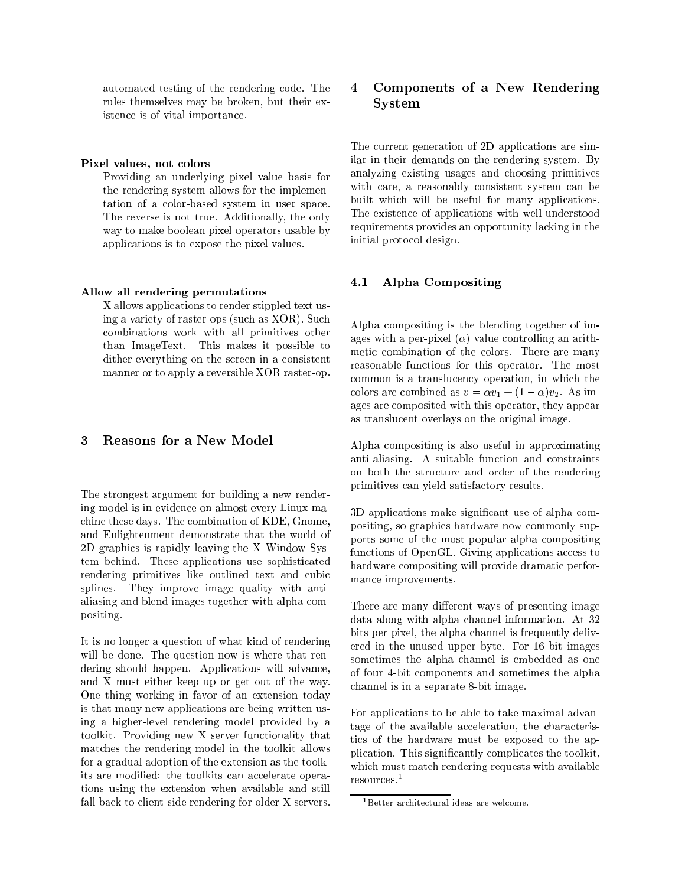automated testing of the rendering ode. The rules themselves may be broken, but their existen
e is of vital importan
e.

#### Pixel values, not colors

Providing an underlying pixel value basis for the rendering system allows for the implementation of a olor-based system in user spa
e. The reverse is not true. Additionally, the only way to make boolean pixel operators usable by applications is to expose the pixel values.

### Allow all rendering permutations

X allows appli
ations to render stippled text using a variety of raster-ops (su
h as XOR). Su
h ombinations work with all primitives other than ImageText. This makes it possible to dither everything on the screen in a consistent manner or to apply a reversible XOR raster-op.

# 3

The strongest argument for building a new rendering model is in eviden
e on almost every Linux ma chine these days. The combination of KDE, Gnome, and Enlightenment demonstrate that the world of 2D graphi
s is rapidly leaving the X Window System behind. These appli
ations use sophisti
ated rendering primitives like outlined text and cubic splines. They improve image quality with antialiasing and blend images together with alpha ompositing.

It is no longer a question of what kind of rendering will be done. The question now is where that rendering should happen. Applications will advance, and X must either keep up or get out of the way. One thing working in favor of an extension today is that many new appli
ations are being written using a higher-level rendering model provided by a toolkit. Providing new X server functionality that mat
hes the rendering model in the toolkit allows for a gradual adoption of the extension as the toolkits are modified: the toolkits can accelerate operations using the extension when available and still fall back to client-side rendering for older X servers.

#### $\overline{4}$ <sup>4</sup> Components of <sup>a</sup> New Rendering System

The urrent generation of 2D appli
ations are similar in their demands on the rendering system. By analyzing existing usages and hoosing primitives with care, a reasonably consistent system can be built whi
h will be useful for many appli
ations. The existen
e of appli
ations with well-understood requirements provides an opportunity la
king in the initial proto
ol design.

# 4.1 Alpha Compositing

Alpha ompositing is the blending together of images with a per-pixel  $(\alpha)$  value controlling an arithmetic combination of the colors. There are many reasonable fun
tions for this operator. The most ommon is a translu
en
y operation, in whi
h the colors are combined as  $v = \alpha v_1 + (1 - \alpha)v_2$ . As images are omposited with this operator, they appear as translu
ent overlays on the original image.

Alpha ompositing is also useful in approximating anti-aliasing. A suitable function and constraints on both the stru
ture and order of the rendering primitives an yield satisfa
tory results.

3D applications make significant use of alpha compositing, so graphi
s hardware now ommonly supports some of the most popular alpha ompositing functions of OpenGL. Giving applications access to hardware ompositing will provide dramati performan
e improvements.

There are many different ways of presenting image data along with alpha channel information. At 32 bits per pixel, the alpha channel is frequently delivered in the unused upper byte. For 16 bit images sometimes the alpha channel is embedded as one of four 4-bit omponents and sometimes the alpha hannel is in a separate 8-bit image.

For appli
ations to be able to take maximal advantage of the available acceleration, the characteristi
s of the hardware must be exposed to the application. This significantly complicates the toolkit, whi
h must mat
h rendering requests with available resour
es.<sup>1</sup>

<sup>&</sup>lt;sup>1</sup>Better architectural ideas are welcome.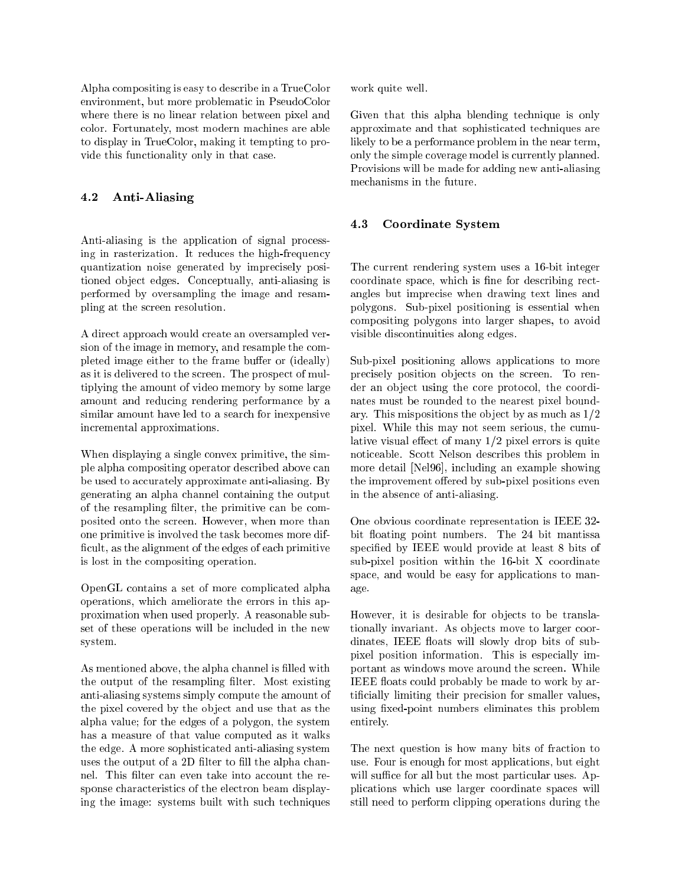Alpha ompositing is easy to des
ribe in a TrueColor environment, but more problemati in PseudoColor where there is no linear relation between pixel and olor. Fortunately, most modern ma
hines are able to display in TrueColor, making it tempting to provide this fun
tionality only in that ase.

# 4.2 Anti-Aliasing

Anti-aliasing is the appli
ation of signal pro
essing in rasterization. It reduces the high-frequency quantization noise generated by impre
isely positioned object edges. Conceptually, anti-aliasing is performed by oversampling the image and resampling at the s
reen resolution.

A direct approach would create an oversampled version of the image in memory, and resample the ompleted image either to the frame buffer or (ideally) as it is delivered to the s
reen. The prospe
t of multiplying the amount of video memory by some large amount and redu
ing rendering performan
e by a similar amount have led to a sear
h for inexpensive in
remental approximations.

When displaying a single convex primitive, the simple alpha ompositing operator des
ribed above an be used to accurately approximate anti-aliasing. By generating an alpha hannel ontaining the output of the resampling filter, the primitive can be composited onto the s
reen. However, when more than one primitive is involved the task be
omes more dif ficult, as the alignment of the edges of each primitive is lost in the ompositing operation.

OpenGL ontains a set of more ompli
ated alpha operations, whi
h ameliorate the errors in this approximation when used properly. A reasonable subset of these operations will be in
luded in the new system.

As mentioned above, the alpha channel is filled with the output of the resampling filter. Most existing anti-aliasing systems simply ompute the amount of the pixel covered by the object and use that as the alpha value; for the edges of a polygon, the system has a measure of that value omputed as it walks the edge. A more sophisticated anti-aliasing system uses the output of a 2D filter to fill the alpha channel. This filter can even take into account the response characteristics of the electron beam displaying the image: systems built with su
h te
hniques work quite well.

Given that this alpha blending technique is only approximate and that sophisti
ated te
hniques are likely to be a performan
e problem in the near term, only the simple coverage model is currently planned. Provisions will be made for adding new anti-aliasing me
hanisms in the future.

# 4.3 Coordinate System

The urrent rendering system uses a 16-bit integer coordinate space, which is fine for describing rectangles but impre
ise when drawing text lines and polygons. Sub-pixel positioning is essential when ompositing polygons into larger shapes, to avoid visible dis
ontinuities along edges.

Sub-pixel positioning allows applications to more precisely position objects on the screen. To render an object using the core protocol, the coordinates must be rounded to the nearest pixel boundary. This mispositions the object by as much as  $1/2$ pixel. While this may not seem serious, the cumulative visual effect of many  $1/2$  pixel errors is quite noti
eable. S
ott Nelson des
ribes this problem in more detail [Nel96], including an example showing the improvement offered by sub-pixel positions even in the absen
e of anti-aliasing.

One obvious oordinate representation is IEEE 32 bit floating point numbers. The 24 bit mantissa specified by IEEE would provide at least 8 bits of sub-pixel position within the 16-bit X coordinate space, and would be easy for applications to manage.

However, it is desirable for objects to be translationally invariant. As objects move to larger coordinates, IEEE floats will slowly drop bits of subpixel position information. This is espe
ially important as windows move around the s
reen. While IEEE floats could probably be made to work by artificially limiting their precision for smaller values, using fixed-point numbers eliminates this problem entirely.

The next question is how many bits of fraction to use. Four is enough for most appli
ations, but eight will suffice for all but the most particular uses. Appli
ations whi
h use larger oordinate spa
es will still need to perform lipping operations during the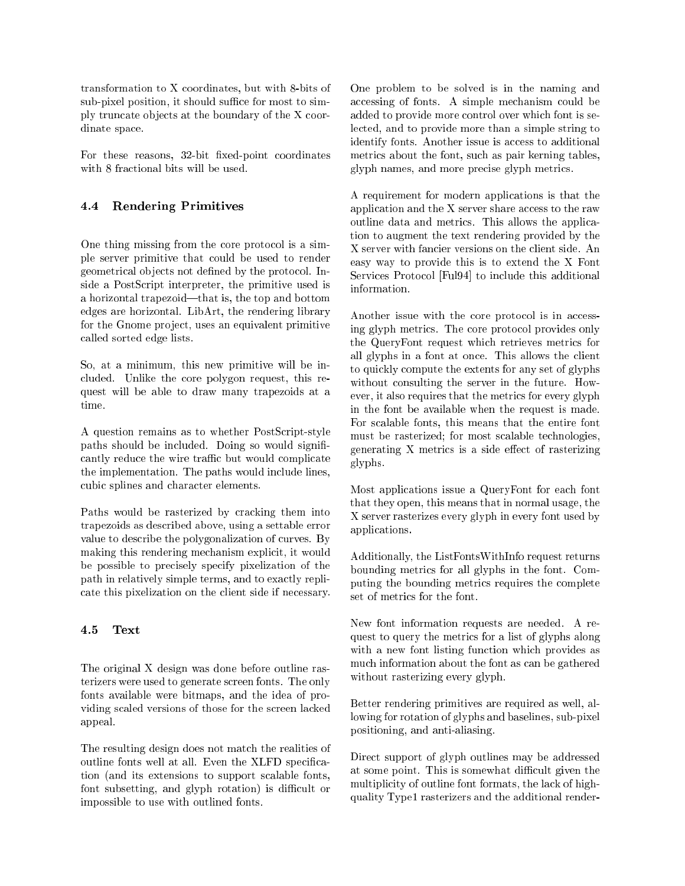transformation to X oordinates, but with 8-bits of sub-pixel position, it should suffice for most to simply truncate objects at the boundary of the X coordinate spa
e.

For these reasons, 32-bit fixed-point coordinates

# 4.4 Rendering Primitives

One thing missing from the core protocol is a simple server primitive that ould be used to render geometrical objects not defined by the protocol. Inside a PostS
ript interpreter, the primitive used is a horizontal trapezoid—that is, the top and bottom edges are horizontal. LibArt, the rendering library for the Gnome project, uses an equivalent primitive alled sorted edge lists.

So, at a minimum, this new primitive will be in cluded. Unlike the core polygon request, this request will be able to draw many trapezoids at a

A question remains as to whether PostS
ript-style paths should be included. Doing so would significantly reduce the wire traffic but would complicate the implementation. The paths would in
lude lines, cubic splines and character elements.

Paths would be rasterized by cracking them into trapezoids as des
ribed above, using a settable error value to describe the polygonalization of curves. By making this rendering mechanism explicit, it would be possible to precisely specify pixelization of the path in relatively simple terms, and to exactly repliate this pixelization on the lient side if ne
essary.

#### 4.5 Text

The original X design was done before outline rasterizers were used to generate s
reen fonts. The only fonts available were bitmaps, and the idea of providing s
aled versions of those for the s
reen la
ked appeal.

The resulting design does not match the realities of outline fonts well at all. Even the XLFD specification (and its extensions to support s
alable fonts, font subsetting, and glyph rotation) is difficult or impossible to use with outlined fonts.

One problem to be solved is in the naming and accessing of fonts. A simple mechanism could be added to provide more ontrol over whi
h font is sele
ted, and to provide more than a simple string to identify fonts. Another issue is access to additional metri
s about the font, su
h as pair kerning tables, glyph names, and more pre
ise glyph metri
s.

A requirement for modern applications is that the application and the X server share access to the raw outline data and metri
s. This allows the appli
ation to augment the text rendering provided by the X server with fan
ier versions on the lient side. An easy way to provide this is to extend the X Font Services Protocol [Ful94] to include this additional information.

Another issue with the core protocol is in accessing glyph metri
s. The ore proto
ol provides only the QueryFont request whi
h retrieves metri
s for all glyphs in a font at on
e. This allows the lient to qui
kly ompute the extents for any set of glyphs without onsulting the server in the future. However, it also requires that the metri
s for every glyph in the font be available when the request is made. For s
alable fonts, this means that the entire font must be rasterized; for most s
alable te
hnologies, generating X metrics is a side effect of rasterizing glyphs.

Most applications issue a QueryFont for each font that they open, this means that in normal usage, the X server rasterizes every glyph in every font used by appli
ations.

Additionally, the ListFontsWithInfo request returns bounding metri
s for all glyphs in the font. Computing the bounding metri
s requires the omplete set of metri
s for the font.

New font information requests are needed. A request to query the metri
s for a list of glyphs along with a new font listing function which provides as mu
h information about the font as an be gathered without rasterizing every glyph.

Better rendering primitives are required as well, allowing for rotation of glyphs and baselines, sub-pixel positioning, and anti-aliasing.

Dire
t support of glyph outlines may be addressed at some point. This is somewhat difficult given the multiplicity of outline font formats, the lack of highquality Type1 rasterizers and the additional render